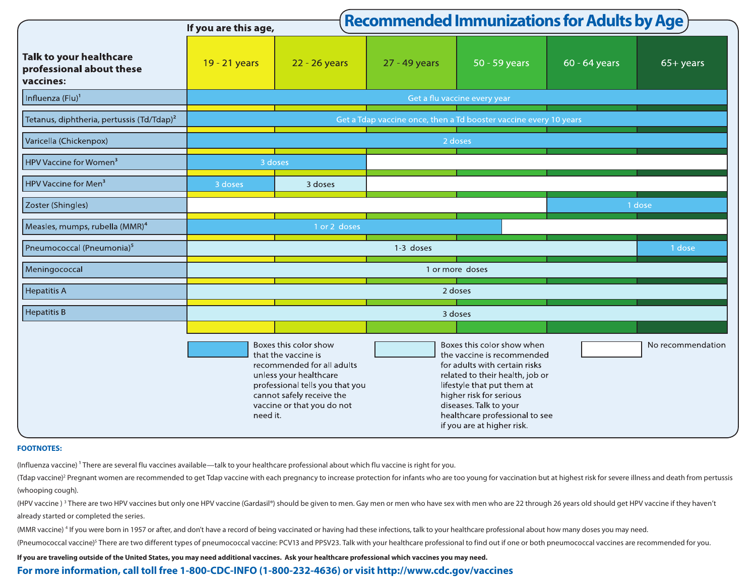|                                                                         |                                                                   |                                                                                                                                                                                                    | <b>Recommended Immunizations for Adults by Age</b> |                                                                                                                                                                                                                                                                                 |               |                   |  |  |  |  |
|-------------------------------------------------------------------------|-------------------------------------------------------------------|----------------------------------------------------------------------------------------------------------------------------------------------------------------------------------------------------|----------------------------------------------------|---------------------------------------------------------------------------------------------------------------------------------------------------------------------------------------------------------------------------------------------------------------------------------|---------------|-------------------|--|--|--|--|
|                                                                         | If you are this age,                                              |                                                                                                                                                                                                    |                                                    |                                                                                                                                                                                                                                                                                 |               |                   |  |  |  |  |
| <b>Talk to your healthcare</b><br>professional about these<br>vaccines: | 19 - 21 years                                                     | 22 - 26 years                                                                                                                                                                                      | 27 - 49 years                                      | 50 - 59 years                                                                                                                                                                                                                                                                   | 60 - 64 years | $65+years$        |  |  |  |  |
| Influenza (Flu) <sup>1</sup>                                            | Get a flu vaccine every year                                      |                                                                                                                                                                                                    |                                                    |                                                                                                                                                                                                                                                                                 |               |                   |  |  |  |  |
| Tetanus, diphtheria, pertussis (Td/Tdap) <sup>2</sup>                   | Get a Tdap vaccine once, then a Td booster vaccine every 10 years |                                                                                                                                                                                                    |                                                    |                                                                                                                                                                                                                                                                                 |               |                   |  |  |  |  |
| Varicella (Chickenpox)                                                  | 2 doses                                                           |                                                                                                                                                                                                    |                                                    |                                                                                                                                                                                                                                                                                 |               |                   |  |  |  |  |
| HPV Vaccine for Women <sup>3</sup>                                      | 3 doses                                                           |                                                                                                                                                                                                    |                                                    |                                                                                                                                                                                                                                                                                 |               |                   |  |  |  |  |
| HPV Vaccine for Men <sup>3</sup>                                        | 3 doses                                                           | 3 doses                                                                                                                                                                                            |                                                    |                                                                                                                                                                                                                                                                                 |               |                   |  |  |  |  |
| Zoster (Shingles)                                                       | 1 dose                                                            |                                                                                                                                                                                                    |                                                    |                                                                                                                                                                                                                                                                                 |               |                   |  |  |  |  |
| Measles, mumps, rubella (MMR) <sup>4</sup>                              |                                                                   | 1 or 2 doses                                                                                                                                                                                       |                                                    |                                                                                                                                                                                                                                                                                 |               |                   |  |  |  |  |
| Pneumococcal (Pneumonia) <sup>5</sup>                                   |                                                                   |                                                                                                                                                                                                    | 1-3 doses                                          |                                                                                                                                                                                                                                                                                 |               | 1 dose            |  |  |  |  |
| Meningococcal                                                           | 1 or more doses                                                   |                                                                                                                                                                                                    |                                                    |                                                                                                                                                                                                                                                                                 |               |                   |  |  |  |  |
| Hepatitis A                                                             | 2 doses                                                           |                                                                                                                                                                                                    |                                                    |                                                                                                                                                                                                                                                                                 |               |                   |  |  |  |  |
| Hepatitis B                                                             | 3 doses                                                           |                                                                                                                                                                                                    |                                                    |                                                                                                                                                                                                                                                                                 |               |                   |  |  |  |  |
|                                                                         |                                                                   |                                                                                                                                                                                                    |                                                    |                                                                                                                                                                                                                                                                                 |               |                   |  |  |  |  |
|                                                                         | need it.                                                          | Boxes this color show<br>that the vaccine is<br>recommended for all adults<br>unless your healthcare<br>professional tells you that you<br>cannot safely receive the<br>vaccine or that you do not |                                                    | Boxes this color show when<br>the vaccine is recommended<br>for adults with certain risks<br>related to their health, job or<br>lifestyle that put them at<br>higher risk for serious<br>diseases. Talk to your<br>healthcare professional to see<br>if you are at higher risk. |               | No recommendation |  |  |  |  |

## **FOOTNOTES:**

(Influenza vaccine)<sup>1</sup> There are several flu vaccines available—talk to your healthcare professional about which flu vaccine is right for you.

(Tdap vaccine)2 Pregnant women are recommended to get Tdap vaccine with each pregnancy to increase protection for infants who are too young for vaccination but at highest risk for severe illness and death from pertussis (whooping cough).

(HPV vaccine ) <sup>3</sup> There are two HPV vaccines but only one HPV vaccine (Gardasil®) should be given to men. Gay men or men who have sex with men who are 22 through 26 years old should get HPV vaccine if they haven't already started or completed the series.

(MMR vaccine) 4 If you were born in 1957 or after, and don't have a record of being vaccinated or having had these infections, talk to your healthcare professional about how many doses you may need.

(Pneumococcal vaccine)<sup>5</sup> There are two different types of pneumococcal vaccine: PCV13 and PPSV23. Talk with your healthcare professional to find out if one or both pneumococcal vaccines are recommended for you.

**If you are traveling outside of the United States, you may need additional vaccines. Ask your healthcare professional which vaccines you may need.**

## **For more information, call toll free 1-800-CDC-INFO (1-800-232-4636) or visit http://www.cdc.gov/vaccines**